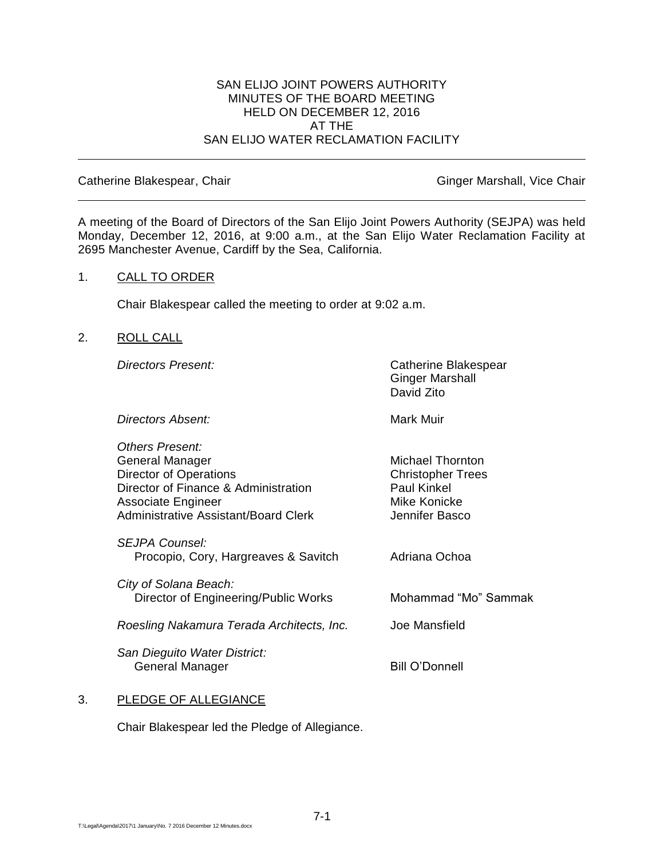#### SAN ELIJO JOINT POWERS AUTHORITY MINUTES OF THE BOARD MEETING HELD ON DECEMBER 12, 2016 AT THE SAN ELIJO WATER RECLAMATION FACILITY

Catherine Blakespear, Chair Ginger Marshall, Vice Chair Ginger Marshall, Vice Chair

A meeting of the Board of Directors of the San Elijo Joint Powers Authority (SEJPA) was held Monday, December 12, 2016, at 9:00 a.m., at the San Elijo Water Reclamation Facility at 2695 Manchester Avenue, Cardiff by the Sea, California.

#### 1. CALL TO ORDER

Chair Blakespear called the meeting to order at 9:02 a.m.

#### 2. ROLL CALL

**Directors Present:** Catherine Blakespear Ginger Marshall David Zito

**Directors Absent:** Mark Muir

*Others Present:* General Manager Michael Thornton Director of Operations **Christopher Trees** Director of Finance & Administration Paul Kinkel Associate Engineer Mike Konicke Administrative Assistant/Board Clerk Jennifer Basco

*SEJPA Counsel:* Procopio, Cory, Hargreaves & Savitch Adriana Ochoa

*City of Solana Beach:* Director of Engineering/Public Works Mohammad "Mo" Sammak

*Roesling Nakamura Terada Architects, Inc.* Joe Mansfield

*San Dieguito Water District:* General Manager Bill O'Donnell

# 3. PLEDGE OF ALLEGIANCE

Chair Blakespear led the Pledge of Allegiance.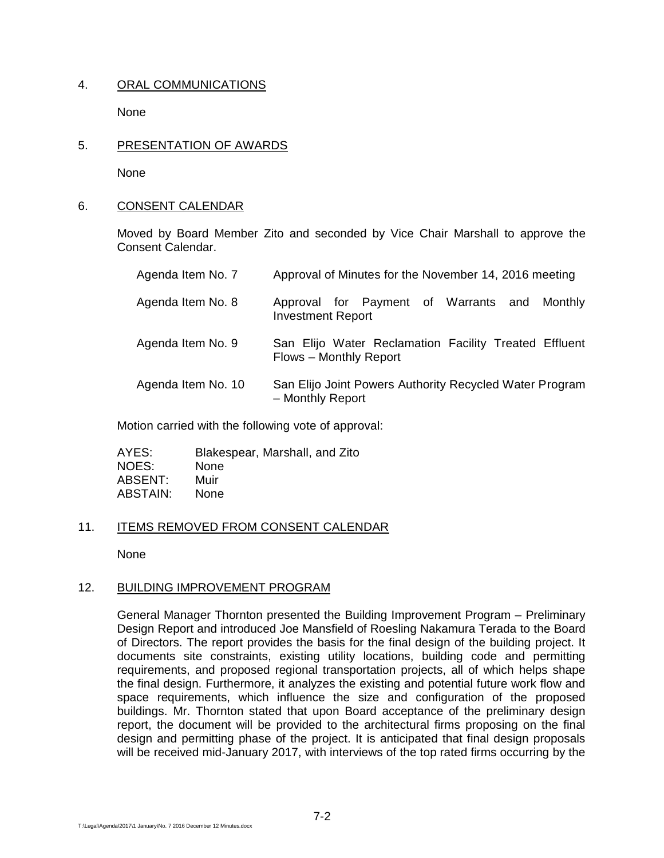# 4. ORAL COMMUNICATIONS

None

5. PRESENTATION OF AWARDS

None

## 6. CONSENT CALENDAR

Moved by Board Member Zito and seconded by Vice Chair Marshall to approve the Consent Calendar.

| Agenda Item No. 7  | Approval of Minutes for the November 14, 2016 meeting                           |
|--------------------|---------------------------------------------------------------------------------|
| Agenda Item No. 8  | Approval for Payment of Warrants and Monthly<br><b>Investment Report</b>        |
| Agenda Item No. 9  | San Elijo Water Reclamation Facility Treated Effluent<br>Flows - Monthly Report |
| Agenda Item No. 10 | San Elijo Joint Powers Authority Recycled Water Program<br>- Monthly Report     |

Motion carried with the following vote of approval:

| AYES:    | Blakespear, Marshall, and Zito |
|----------|--------------------------------|
| NOES:    | <b>None</b>                    |
| ABSENT:  | Muir                           |
| ABSTAIN: | None                           |

# 11. ITEMS REMOVED FROM CONSENT CALENDAR

None

#### 12. BUILDING IMPROVEMENT PROGRAM

General Manager Thornton presented the Building Improvement Program – Preliminary Design Report and introduced Joe Mansfield of Roesling Nakamura Terada to the Board of Directors. The report provides the basis for the final design of the building project. It documents site constraints, existing utility locations, building code and permitting requirements, and proposed regional transportation projects, all of which helps shape the final design. Furthermore, it analyzes the existing and potential future work flow and space requirements, which influence the size and configuration of the proposed buildings. Mr. Thornton stated that upon Board acceptance of the preliminary design report, the document will be provided to the architectural firms proposing on the final design and permitting phase of the project. It is anticipated that final design proposals will be received mid-January 2017, with interviews of the top rated firms occurring by the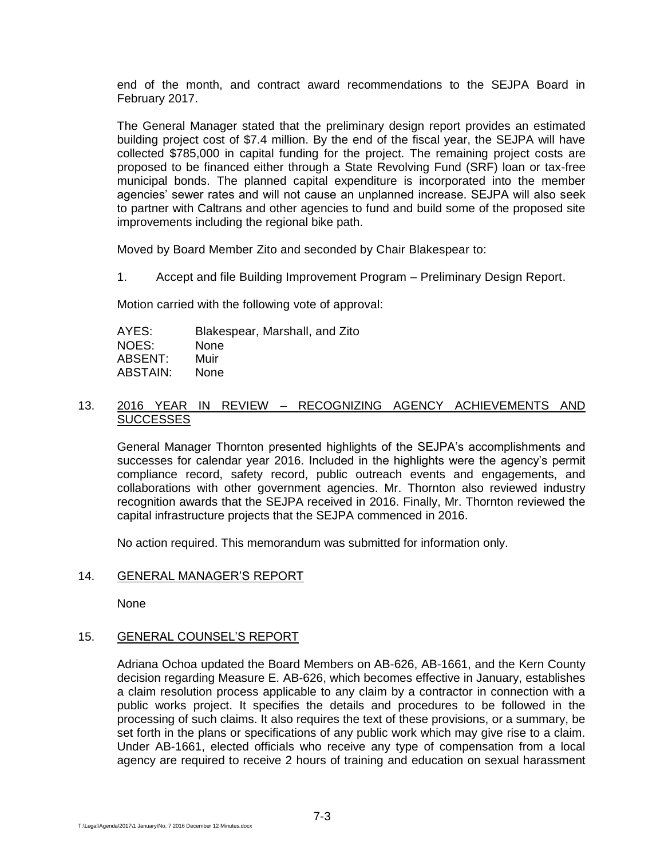end of the month, and contract award recommendations to the SEJPA Board in February 2017.

The General Manager stated that the preliminary design report provides an estimated building project cost of \$7.4 million. By the end of the fiscal year, the SEJPA will have collected \$785,000 in capital funding for the project. The remaining project costs are proposed to be financed either through a State Revolving Fund (SRF) loan or tax-free municipal bonds. The planned capital expenditure is incorporated into the member agencies' sewer rates and will not cause an unplanned increase. SEJPA will also seek to partner with Caltrans and other agencies to fund and build some of the proposed site improvements including the regional bike path.

Moved by Board Member Zito and seconded by Chair Blakespear to:

1. Accept and file Building Improvement Program – Preliminary Design Report.

Motion carried with the following vote of approval:

AYES: Blakespear, Marshall, and Zito NOES: None ABSENT: Muir ABSTAIN: None

## 13. 2016 YEAR IN REVIEW – RECOGNIZING AGENCY ACHIEVEMENTS AND **SUCCESSES**

General Manager Thornton presented highlights of the SEJPA's accomplishments and successes for calendar year 2016. Included in the highlights were the agency's permit compliance record, safety record, public outreach events and engagements, and collaborations with other government agencies. Mr. Thornton also reviewed industry recognition awards that the SEJPA received in 2016. Finally, Mr. Thornton reviewed the capital infrastructure projects that the SEJPA commenced in 2016.

No action required. This memorandum was submitted for information only.

# 14. GENERAL MANAGER'S REPORT

None

#### 15. GENERAL COUNSEL'S REPORT

Adriana Ochoa updated the Board Members on AB-626, AB-1661, and the Kern County decision regarding Measure E. AB-626, which becomes effective in January, establishes a claim resolution process applicable to any claim by a contractor in connection with a public works project. It specifies the details and procedures to be followed in the processing of such claims. It also requires the text of these provisions, or a summary, be set forth in the plans or specifications of any public work which may give rise to a claim. Under AB-1661, elected officials who receive any type of compensation from a local agency are required to receive 2 hours of training and education on sexual harassment